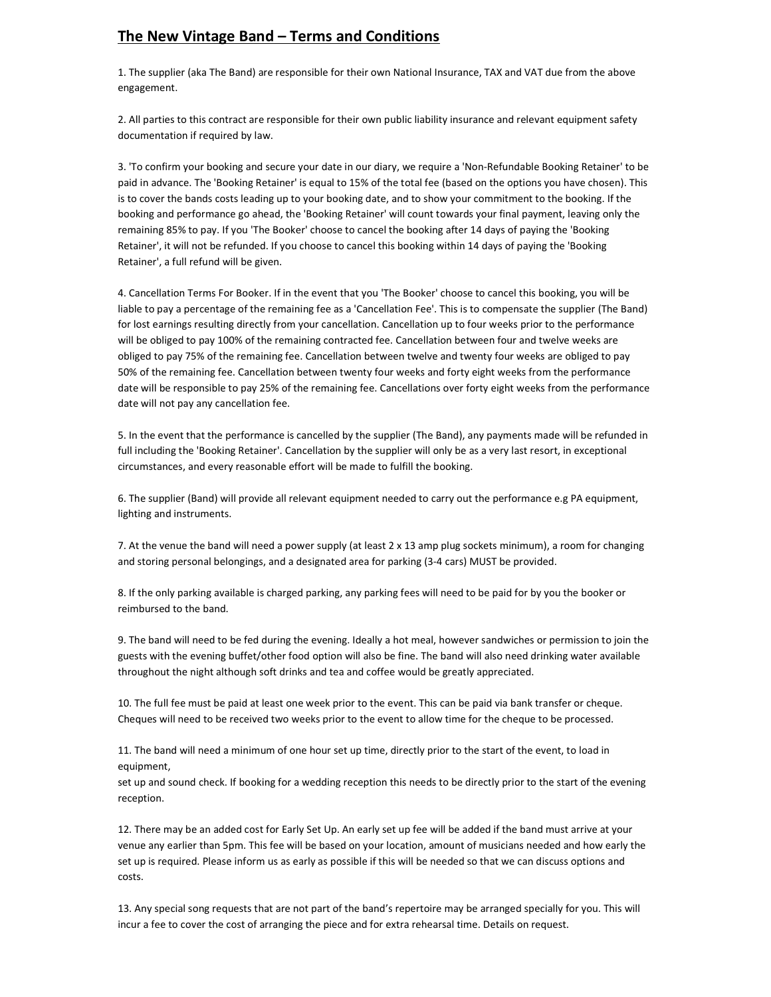## The New Vintage Band – Terms and Conditions

1. The supplier (aka The Band) are responsible for their own National Insurance, TAX and VAT due from the above engagement.

2. All parties to this contract are responsible for their own public liability insurance and relevant equipment safety documentation if required by law.

3. 'To confirm your booking and secure your date in our diary, we require a 'Non-Refundable Booking Retainer' to be paid in advance. The 'Booking Retainer' is equal to 15% of the total fee (based on the options you have chosen). This is to cover the bands costs leading up to your booking date, and to show your commitment to the booking. If the booking and performance go ahead, the 'Booking Retainer' will count towards your final payment, leaving only the remaining 85% to pay. If you 'The Booker' choose to cancel the booking after 14 days of paying the 'Booking Retainer', it will not be refunded. If you choose to cancel this booking within 14 days of paying the 'Booking Retainer', a full refund will be given.

4. Cancellation Terms For Booker. If in the event that you 'The Booker' choose to cancel this booking, you will be liable to pay a percentage of the remaining fee as a 'Cancellation Fee'. This is to compensate the supplier (The Band) for lost earnings resulting directly from your cancellation. Cancellation up to four weeks prior to the performance will be obliged to pay 100% of the remaining contracted fee. Cancellation between four and twelve weeks are obliged to pay 75% of the remaining fee. Cancellation between twelve and twenty four weeks are obliged to pay 50% of the remaining fee. Cancellation between twenty four weeks and forty eight weeks from the performance date will be responsible to pay 25% of the remaining fee. Cancellations over forty eight weeks from the performance date will not pay any cancellation fee.

5. In the event that the performance is cancelled by the supplier (The Band), any payments made will be refunded in full including the 'Booking Retainer'. Cancellation by the supplier will only be as a very last resort, in exceptional circumstances, and every reasonable effort will be made to fulfill the booking.

6. The supplier (Band) will provide all relevant equipment needed to carry out the performance e.g PA equipment, lighting and instruments.

7. At the venue the band will need a power supply (at least 2 x 13 amp plug sockets minimum), a room for changing and storing personal belongings, and a designated area for parking (3-4 cars) MUST be provided.

8. If the only parking available is charged parking, any parking fees will need to be paid for by you the booker or reimbursed to the band.

9. The band will need to be fed during the evening. Ideally a hot meal, however sandwiches or permission to join the guests with the evening buffet/other food option will also be fine. The band will also need drinking water available throughout the night although soft drinks and tea and coffee would be greatly appreciated.

10. The full fee must be paid at least one week prior to the event. This can be paid via bank transfer or cheque. Cheques will need to be received two weeks prior to the event to allow time for the cheque to be processed.

11. The band will need a minimum of one hour set up time, directly prior to the start of the event, to load in equipment,

set up and sound check. If booking for a wedding reception this needs to be directly prior to the start of the evening reception.

12. There may be an added cost for Early Set Up. An early set up fee will be added if the band must arrive at your venue any earlier than 5pm. This fee will be based on your location, amount of musicians needed and how early the set up is required. Please inform us as early as possible if this will be needed so that we can discuss options and costs.

13. Any special song requests that are not part of the band's repertoire may be arranged specially for you. This will incur a fee to cover the cost of arranging the piece and for extra rehearsal time. Details on request.